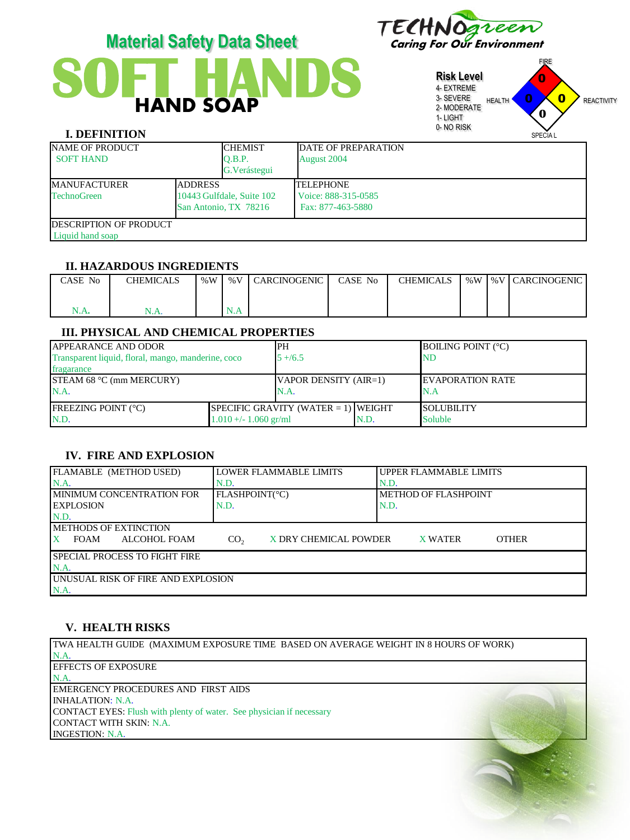

# **SOFT HANDS**

**Risk Level** 4- EXTREME 3- SEVERE 2- MODERATE 1- LIGHT 0- NO RISK FIRE HEALTH **U U REACTIVITY** SPECIA L 0  $\overline{\mathbf{0}}$ 0 **0**

# **I. DEFINITION**

| <b>CHEMIST</b> | <b>DATE OF PREPARATION</b>                                           |  |  |
|----------------|----------------------------------------------------------------------|--|--|
| O.B.P.         | August 2004                                                          |  |  |
| G. Verástegui  |                                                                      |  |  |
|                | <b>TELEPHONE</b>                                                     |  |  |
|                | Voice: 888-315-0585                                                  |  |  |
|                | Fax: 877-463-5880                                                    |  |  |
|                |                                                                      |  |  |
|                |                                                                      |  |  |
|                | <b>ADDRESS</b><br>10443 Gulfdale, Suite 102<br>San Antonio, TX 78216 |  |  |

### **II. HAZARDOUS INGREDIENTS**

| CASE No | <b>CHEMICALS</b> | % $W$ | % V | I CARCINOGENIC | CASE No | <b>CHEMICALS</b> | %W | I %V I CARCINOGENIC I |
|---------|------------------|-------|-----|----------------|---------|------------------|----|-----------------------|
|         |                  |       |     |                |         |                  |    |                       |
| N.A.    | N.A.             |       | N.A |                |         |                  |    |                       |

# **III. PHYSICAL AND CHEMICAL PROPERTIES**

| <b>JAPPEARANCE AND ODOR</b>                        | IPH                     |                                        | <b>BOILING POINT (°C)</b> |                    |
|----------------------------------------------------|-------------------------|----------------------------------------|---------------------------|--------------------|
| Transparent liquid, floral, mango, manderine, coco |                         | $5 + 6.5$                              |                           | ND                 |
| fragarance                                         |                         |                                        |                           |                    |
| STEAM 68 $°C$ (mm MERCURY)                         | VAPOR DENSITY (AIR=1)   |                                        | <b>IEVAPORATION RATE</b>  |                    |
| N.A.                                               |                         | N.A.                                   |                           | N.A                |
| <b>FREEZING POINT (°C)</b>                         |                         | $ SPECIFIC$ GRAVITY (WATER = 1) WEIGHT |                           | <b>ISOLUBILITY</b> |
| N.D.                                               | $1.010 +/- 1.060$ gr/ml |                                        | N.D.                      | Soluble            |

## **IV. FIRE AND EXPLOSION**

| FLAMABLE (METHOD USED)                     | LLOWER FLAMMABLE LIMITS                  | UPPER FLAMMABLE LIMITS         |  |  |  |  |
|--------------------------------------------|------------------------------------------|--------------------------------|--|--|--|--|
|                                            |                                          |                                |  |  |  |  |
| N.A                                        | N.D.                                     | N.D.                           |  |  |  |  |
| <b>IMINIMUM CONCENTRATION FOR</b>          | FLASHPOINT(°C)                           | METHOD OF FLASHPOINT           |  |  |  |  |
| <b>LEXPLOSION</b>                          | N.D.                                     | N.D.                           |  |  |  |  |
| N.D.                                       |                                          |                                |  |  |  |  |
| <b>IMETHODS OF EXTINCTION</b>              |                                          |                                |  |  |  |  |
| <b>ALCOHOL FOAM</b><br><b>FOAM</b>         | CO <sub>2</sub><br>X DRY CHEMICAL POWDER | <b>OTHER</b><br><b>X WATER</b> |  |  |  |  |
| <b>ISPECIAL PROCESS TO FIGHT FIRE</b>      |                                          |                                |  |  |  |  |
| $NA$ .                                     |                                          |                                |  |  |  |  |
| <b>JUNUSUAL RISK OF FIRE AND EXPLOSION</b> |                                          |                                |  |  |  |  |
| N.A.                                       |                                          |                                |  |  |  |  |

## **V. HEALTH RISKS**

TWA HEALTH GUIDE (MAXIMUM EXPOSURE TIME BASED ON AVERAGE WEIGHT IN 8 HOURS OF WORK) N.A. EFFECTS OF EXPOSURE N.A. EMERGENCY PROCEDURES AND FIRST AIDS INHALATION: N.A. CONTACT EYES: Flush with plenty of water. See physician if necessary CONTACT WITH SKIN: N.A. INGESTION: N.A.